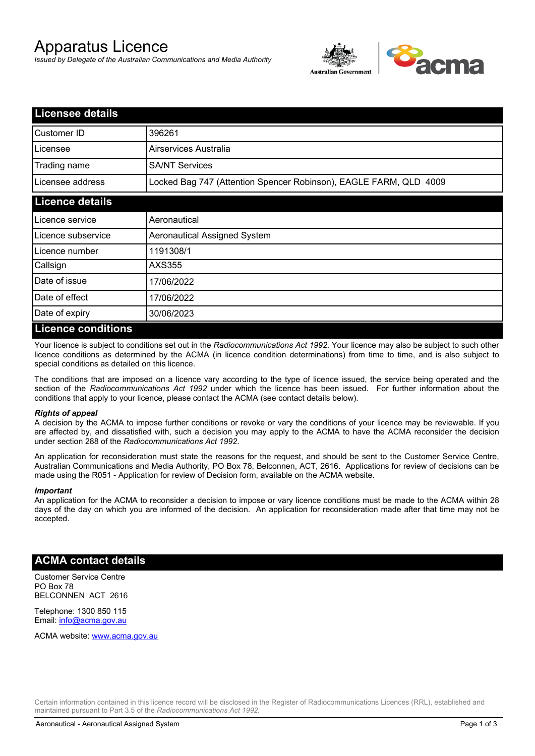# Apparatus Licence

*Issued by Delegate of the Australian Communications and Media Authority*



| <b>Licensee details</b> |                                                                   |
|-------------------------|-------------------------------------------------------------------|
| Customer ID             | 396261                                                            |
| Licensee                | Airservices Australia                                             |
| Trading name            | <b>SA/NT Services</b>                                             |
| Licensee address        | Locked Bag 747 (Attention Spencer Robinson), EAGLE FARM, QLD 4009 |
| <b>Licence details</b>  |                                                                   |
| l Licence service       | Aeronautical                                                      |
| Licence subservice      | Aeronautical Assigned System                                      |
| l Licence number        | 1191308/1                                                         |
| Callsign                | AXS355                                                            |
| Date of issue           | 17/06/2022                                                        |
| Date of effect          | 17/06/2022                                                        |
| Date of expiry          | 30/06/2023                                                        |
| Licance conditions      |                                                                   |

#### **Licence conditions**

Your licence is subject to conditions set out in the *Radiocommunications Act 1992*. Your licence may also be subject to such other licence conditions as determined by the ACMA (in licence condition determinations) from time to time, and is also subject to special conditions as detailed on this licence.

The conditions that are imposed on a licence vary according to the type of licence issued, the service being operated and the section of the *Radiocommunications Act 1992* under which the licence has been issued. For further information about the conditions that apply to your licence, please contact the ACMA (see contact details below).

#### *Rights of appeal*

A decision by the ACMA to impose further conditions or revoke or vary the conditions of your licence may be reviewable. If you are affected by, and dissatisfied with, such a decision you may apply to the ACMA to have the ACMA reconsider the decision under section 288 of the *Radiocommunications Act 1992*.

An application for reconsideration must state the reasons for the request, and should be sent to the Customer Service Centre, Australian Communications and Media Authority, PO Box 78, Belconnen, ACT, 2616. Applications for review of decisions can be made using the R051 - Application for review of Decision form, available on the ACMA website.

#### *Important*

An application for the ACMA to reconsider a decision to impose or vary licence conditions must be made to the ACMA within 28 days of the day on which you are informed of the decision. An application for reconsideration made after that time may not be accepted.

### **ACMA contact details**

Customer Service Centre PO Box 78 BELCONNEN ACT 2616

Telephone: 1300 850 115 Email: info@acma.gov.au

ACMA website: www.acma.gov.au

Certain information contained in this licence record will be disclosed in the Register of Radiocommunications Licences (RRL), established and maintained pursuant to Part 3.5 of the *Radiocommunications Act 1992.*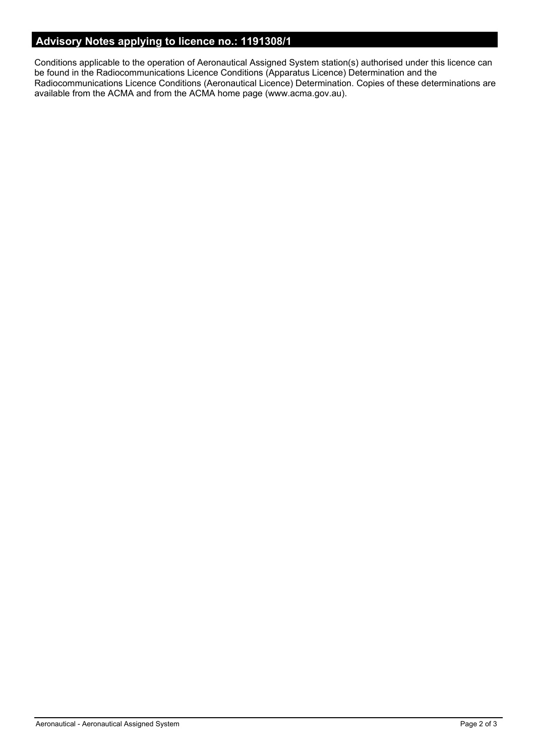## **Advisory Notes applying to licence no.: 1191308/1**

Conditions applicable to the operation of Aeronautical Assigned System station(s) authorised under this licence can be found in the Radiocommunications Licence Conditions (Apparatus Licence) Determination and the Radiocommunications Licence Conditions (Aeronautical Licence) Determination. Copies of these determinations are available from the ACMA and from the ACMA home page (www.acma.gov.au).